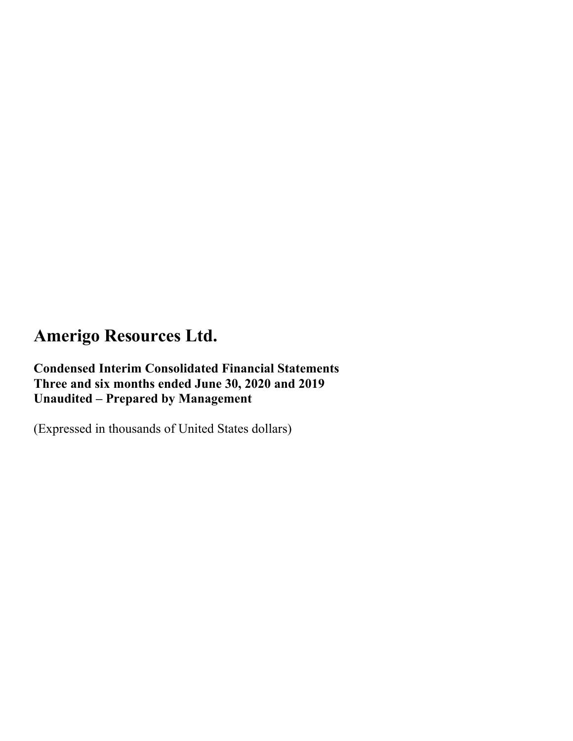**Condensed Interim Consolidated Financial Statements Three and six months ended June 30, 2020 and 2019 Unaudited – Prepared by Management** 

(Expressed in thousands of United States dollars)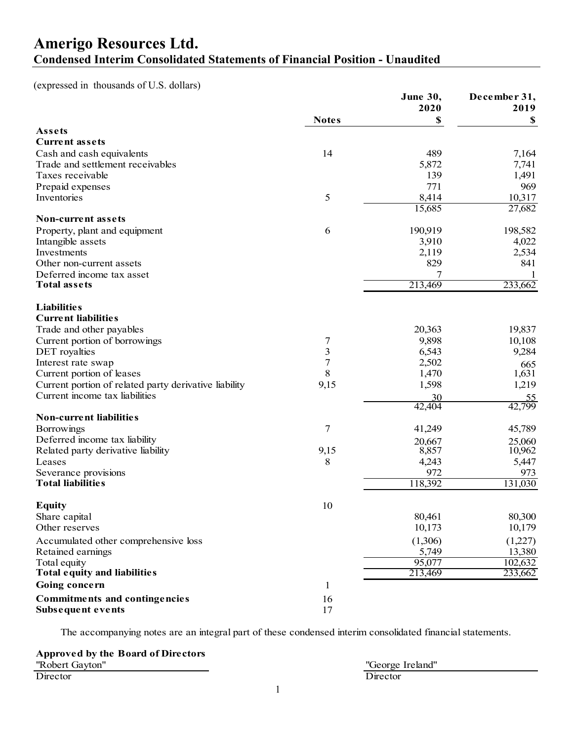## **Amerigo Resources Ltd. Condensed Interim Consolidated Statements of Financial Position - Unaudited**

(expressed in thousands of U.S. dollars)

|                                                       |                | June 30,     | December 31,         |
|-------------------------------------------------------|----------------|--------------|----------------------|
|                                                       | <b>Notes</b>   | 2020<br>\$   | 2019<br>\$           |
| Assets                                                |                |              |                      |
| <b>Current assets</b>                                 |                |              |                      |
| Cash and cash equivalents                             | 14             | 489          | 7,164                |
| Trade and settlement receivables                      |                | 5,872        | 7,741                |
| Taxes receivable                                      |                | 139          | 1,491                |
| Prepaid expenses                                      |                | 771          | 969                  |
| Inventories                                           | 5              | 8,414        | 10,317               |
|                                                       |                | 15,685       | 27,682               |
| <b>Non-current assets</b>                             | 6              | 190,919      | 198,582              |
| Property, plant and equipment<br>Intangible assets    |                | 3,910        | 4,022                |
| Investments                                           |                | 2,119        | 2,534                |
| Other non-current assets                              |                | 829          | 841                  |
| Deferred income tax asset                             |                |              |                      |
| <b>Total assets</b>                                   |                | 213,469      | 233,662              |
|                                                       |                |              |                      |
| <b>Liabilities</b>                                    |                |              |                      |
| <b>Current liabilities</b>                            |                |              |                      |
| Trade and other payables                              |                | 20,363       | 19,837               |
| Current portion of borrowings                         | 7              | 9,898        | 10,108               |
| DET royalties                                         | 3              | 6,543        | 9,284                |
| Interest rate swap                                    | $\overline{7}$ | 2,502        | 665                  |
| Current portion of leases                             | 8              | 1,470        | 1,631                |
| Current portion of related party derivative liability | 9,15           | 1,598        | 1,219                |
| Current income tax liabilities                        |                | 30           | $\frac{55}{42,799}$  |
|                                                       |                | 42,404       |                      |
| <b>Non-current liabilities</b>                        |                |              |                      |
| Borrowings                                            | 7              | 41,249       | 45,789               |
| Deferred income tax liability                         |                | 20,667       | 25,060               |
| Related party derivative liability<br>Leases          | 9,15           | 8,857        | 10,962               |
|                                                       | 8              | 4,243<br>972 | 5,447<br>973         |
| Severance provisions<br><b>Total liabilities</b>      |                | 118,392      | $1\overline{31,030}$ |
|                                                       |                |              |                      |
| <b>Equity</b>                                         | 10             |              |                      |
| Share capital                                         |                | 80,461       | 80,300               |
| Other reserves                                        |                | 10,173       | 10,179               |
| Accumulated other comprehensive loss                  |                | (1,306)      | (1,227)              |
| Retained earnings                                     |                | 5,749        | 13,380               |
| Total equity                                          |                | 95,077       | 102,632              |
| <b>Total equity and liabilities</b>                   |                | 213,469      | 233,662              |
| Going concern                                         | $\mathbf{1}$   |              |                      |
| <b>Commitments and contingencies</b>                  | 16             |              |                      |
| <b>Subsequent events</b>                              | 17             |              |                      |

The accompanying notes are an integral part of these condensed interim consolidated financial statements.

| Approved by the Board of Directors |                  |
|------------------------------------|------------------|
| "Robert Gavton"                    | "George Ireland" |
| Director                           | Director         |
|                                    |                  |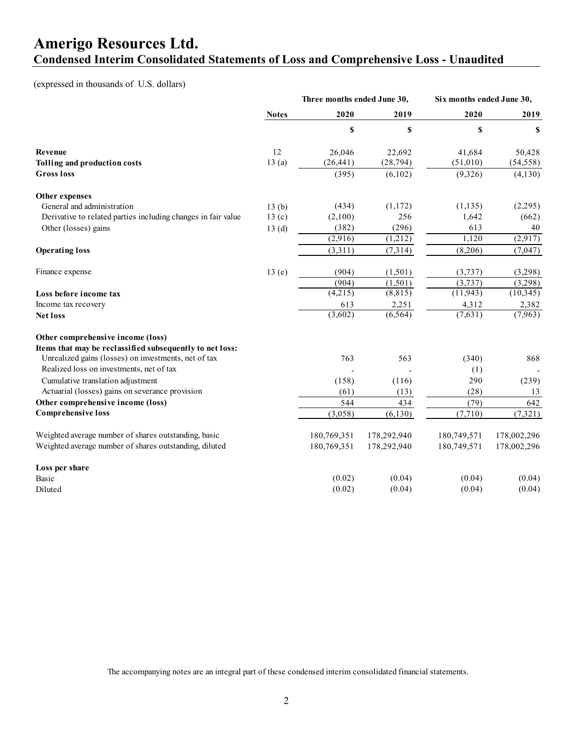## **Amerigo Resources Ltd. Condensed Interim Consolidated Statements of Loss and Comprehensive Loss - Unaudited**

(expressed in thousands of U.S. dollars)

|                                                               |              | Three months ended June 30, |             |             | Six months ended June 30, |  |
|---------------------------------------------------------------|--------------|-----------------------------|-------------|-------------|---------------------------|--|
|                                                               | <b>Notes</b> | 2020                        | 2019        | 2020        | 2019                      |  |
|                                                               |              | \$                          | $\mathbb S$ | \$          | \$                        |  |
| Revenue                                                       | 12           | 26,046                      | 22,692      | 41,684      | 50,428                    |  |
| <b>Tolling and production costs</b>                           | 13(a)        | (26, 441)                   | (28, 794)   | (51,010)    | (54, 558)                 |  |
| <b>Gross loss</b>                                             |              | (395)                       | (6,102)     | (9,326)     | (4,130)                   |  |
| Other expenses                                                |              |                             |             |             |                           |  |
| General and administration                                    | 13(b)        | (434)                       | (1,172)     | (1, 135)    | (2,295)                   |  |
| Derivative to related parties including changes in fair value | 13(c)        | (2,100)                     | 256         | 1,642       | (662)                     |  |
| Other (losses) gains                                          | 13(d)        | (382)                       | (296)       | 613         | 40                        |  |
|                                                               |              | (2,916)                     | (1,212)     | 1,120       | (2,917)                   |  |
| <b>Operating loss</b>                                         |              | (3,311)                     | (7,314)     | (8,206)     | (7,047)                   |  |
| Finance expense                                               | 13(e)        | (904)                       | (1,501)     | (3,737)     | (3,298)                   |  |
|                                                               |              | (904)                       | (1,501)     | (3,737)     | (3,298)                   |  |
| Loss before income tax                                        |              | (4,215)                     | (8, 815)    | (11, 943)   | (10, 345)                 |  |
| Income tax recovery                                           |              | 613                         | 2,251       | 4,312       | 2,382                     |  |
| <b>Net loss</b>                                               |              | (3,602)                     | (6, 564)    | (7,631)     | (7,963)                   |  |
| Other comprehensive income (loss)                             |              |                             |             |             |                           |  |
| Items that may be reclassified subsequently to net loss:      |              |                             |             |             |                           |  |
| Unrealized gains (losses) on investments, net of tax          |              | 763                         | 563         | (340)       | 868                       |  |
| Realized loss on investments, net of tax                      |              |                             |             | (1)         |                           |  |
| Cumulative translation adjustment                             |              | (158)                       | (116)       | 290         | (239)                     |  |
| Actuarial (losses) gains on severance provision               |              | (61)                        | (13)        | (28)        | 13                        |  |
| Other comprehensive income (loss)                             |              | 544                         | 434         | (79)        | 642                       |  |
| <b>Comprehensive loss</b>                                     |              | (3,058)                     | (6, 130)    | (7,710)     | (7, 321)                  |  |
| Weighted average number of shares outstanding, basic          |              | 180,769,351                 | 178,292,940 | 180,749,571 | 178,002,296               |  |
| Weighted average number of shares outstanding, diluted        |              | 180,769,351                 | 178,292,940 | 180,749,571 | 178,002,296               |  |
| Loss per share                                                |              |                             |             |             |                           |  |
| Basic                                                         |              | (0.02)                      | (0.04)      | (0.04)      | (0.04)                    |  |
| Diluted                                                       |              | (0.02)                      | (0.04)      | (0.04)      | (0.04)                    |  |

The accompanying notes are an integral part of these condensed interim consolidated financial statements.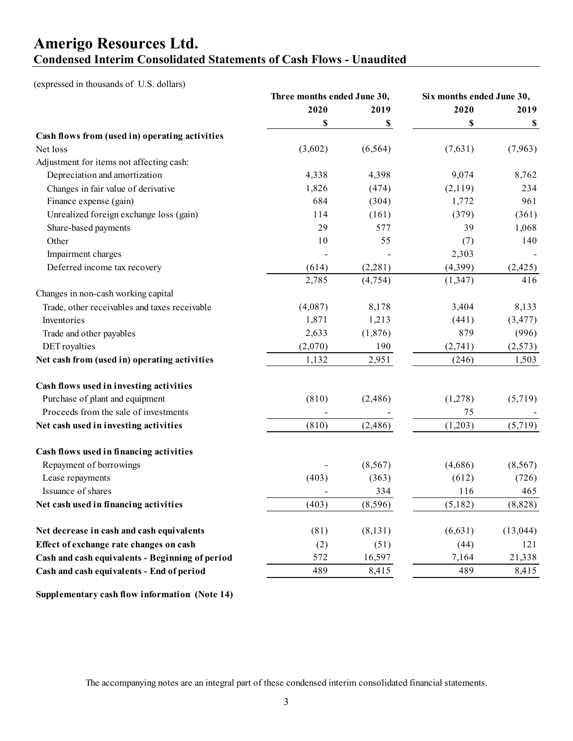## **Amerigo Resources Ltd. Condensed Interim Consolidated Statements of Cash Flows - Unaudited**

(expressed in thousands of U.S. dollars)

|                                                 | Three months ended June 30, |             |          | Six months ended June 30, |  |
|-------------------------------------------------|-----------------------------|-------------|----------|---------------------------|--|
|                                                 | 2020                        | 2019        | 2020     | 2019                      |  |
|                                                 | \$                          | $\mathbb S$ | \$       | \$                        |  |
| Cash flows from (used in) operating activities  |                             |             |          |                           |  |
| Net loss                                        | (3,602)                     | (6, 564)    | (7,631)  | (7,963)                   |  |
| Adjustment for items not affecting cash:        |                             |             |          |                           |  |
| Depreciation and amortization                   | 4,338                       | 4,398       | 9,074    | 8,762                     |  |
| Changes in fair value of derivative             | 1,826                       | (474)       | (2,119)  | 234                       |  |
| Finance expense (gain)                          | 684                         | (304)       | 1,772    | 961                       |  |
| Unrealized foreign exchange loss (gain)         | 114                         | (161)       | (379)    | (361)                     |  |
| Share-based payments                            | 29                          | 577         | 39       | 1,068                     |  |
| Other                                           | 10                          | 55          | (7)      | 140                       |  |
| Impairment charges                              |                             |             | 2,303    |                           |  |
| Deferred income tax recovery                    | (614)                       | (2, 281)    | (4,399)  | (2, 425)                  |  |
|                                                 | 2,785                       | (4,754)     | (1, 347) | 416                       |  |
| Changes in non-cash working capital             |                             |             |          |                           |  |
| Trade, other receivables and taxes receivable   | (4,087)                     | 8,178       | 3,404    | 8,133                     |  |
| Inventories                                     | 1,871                       | 1,213       | (441)    | (3, 477)                  |  |
| Trade and other payables                        | 2,633                       | (1,876)     | 879      | (996)                     |  |
| DET royalties                                   | (2,070)                     | 190         | (2,741)  | (2,573)                   |  |
| Net cash from (used in) operating activities    | 1,132                       | 2,951       | (246)    | 1,503                     |  |
| Cash flows used in investing activities         |                             |             |          |                           |  |
| Purchase of plant and equipment                 | (810)                       | (2,486)     | (1,278)  | (5,719)                   |  |
| Proceeds from the sale of investments           |                             |             | 75       |                           |  |
| Net cash used in investing activities           | (810)                       | (2,486)     | (1,203)  | (5,719)                   |  |
| Cash flows used in financing activities         |                             |             |          |                           |  |
| Repayment of borrowings                         |                             | (8, 567)    | (4,686)  | (8, 567)                  |  |
| Lease repayments                                | (403)                       | (363)       | (612)    | (726)                     |  |
| Issuance of shares                              |                             | 334         | 116      | 465                       |  |
| Net cash used in financing activities           | (403)                       | (8,596)     | (5,182)  | (8,828)                   |  |
| Net decrease in cash and cash equivalents       | (81)                        | (8, 131)    | (6,631)  | (13, 044)                 |  |
| Effect of exchange rate changes on cash         | (2)                         | (51)        | (44)     | 121                       |  |
| Cash and cash equivalents - Beginning of period | 572                         | 16,597      | 7,164    | 21,338                    |  |
| Cash and cash equivalents - End of period       | 489                         | 8,415       | 489      | 8,415                     |  |
|                                                 |                             |             |          |                           |  |

**Supplementary cash flow information (Note 14)**

The accompanying notes are an integral part of these condensed interim consolidated financial statements.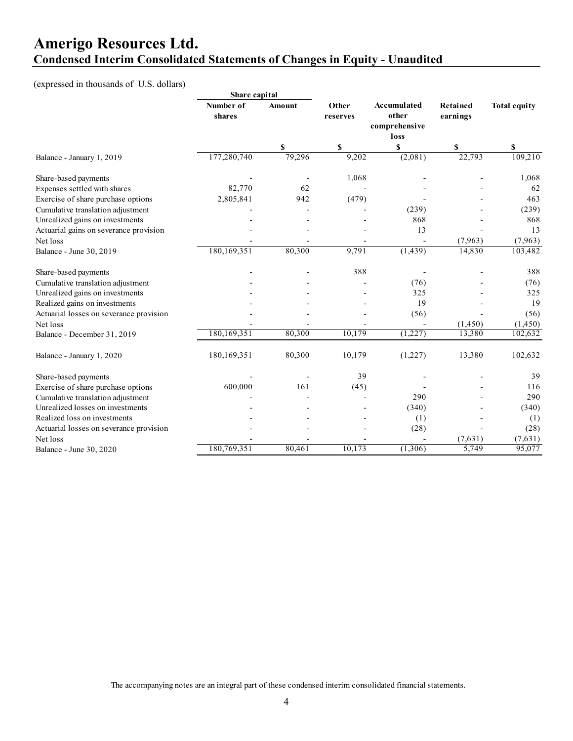## **Amerigo Resources Ltd. Condensed Interim Consolidated Statements of Changes in Equity - Unaudited**

### (expressed in thousands of U.S. dollars)

|                                         | Share capital       |        |                   |                                               |                      |                     |
|-----------------------------------------|---------------------|--------|-------------------|-----------------------------------------------|----------------------|---------------------|
|                                         | Number of<br>shares | Amount | Other<br>reserves | Accumulated<br>other<br>comprehensive<br>loss | Retained<br>earnings | <b>Total equity</b> |
|                                         |                     | \$     | \$                | \$                                            | \$                   | S                   |
| Balance - January 1, 2019               | 177,280,740         | 79,296 | 9,202             | (2,081)                                       | 22,793               | 109,210             |
| Share-based payments                    |                     |        | 1,068             |                                               |                      | 1,068               |
| Expenses settled with shares            | 82,770              | 62     |                   |                                               |                      | 62                  |
| Exercise of share purchase options      | 2,805,841           | 942    | (479)             |                                               |                      | 463                 |
| Cumulative translation adjustment       |                     |        |                   | (239)                                         |                      | (239)               |
| Unrealized gains on investments         |                     |        |                   | 868                                           |                      | 868                 |
| Actuarial gains on severance provision  |                     |        |                   | 13                                            |                      | 13                  |
| Net loss                                |                     |        |                   |                                               | (7,963)              | (7,963)             |
| Balance - June 30, 2019                 | 180,169,351         | 80,300 | 9,791             | (1, 439)                                      | 14,830               | 103,482             |
| Share-based payments                    |                     |        | 388               |                                               |                      | 388                 |
| Cumulative translation adjustment       |                     |        |                   | (76)                                          |                      | (76)                |
| Unrealized gains on investments         |                     |        |                   | 325                                           |                      | 325                 |
| Realized gains on investments           |                     |        |                   | 19                                            |                      | 19                  |
| Actuarial losses on severance provision |                     |        |                   | (56)                                          |                      | (56)                |
| Net loss                                |                     |        |                   |                                               | (1,450)              | (1,450)             |
| Balance - December 31, 2019             | 180,169,351         | 80,300 | 10,179            | (1,227)                                       | 13,380               | 102,632             |
| Balance - January 1, 2020               | 180,169,351         | 80,300 | 10,179            | (1,227)                                       | 13,380               | 102,632             |
| Share-based payments                    |                     |        | 39                |                                               |                      | 39                  |
| Exercise of share purchase options      | 600,000             | 161    | (45)              |                                               |                      | 116                 |
| Cumulative translation adjustment       |                     |        |                   | 290                                           |                      | 290                 |
| Unrealized losses on investments        |                     |        |                   | (340)                                         |                      | (340)               |
| Realized loss on investments            |                     |        |                   | (1)                                           |                      | (1)                 |
| Actuarial losses on severance provision |                     |        |                   | (28)                                          |                      | (28)                |
| Net loss                                |                     |        |                   |                                               | (7,631)              | (7,631)             |
| Balance - June 30, 2020                 | 180,769,351         | 80,461 | 10,173            | (1,306)                                       | 5,749                | 95,077              |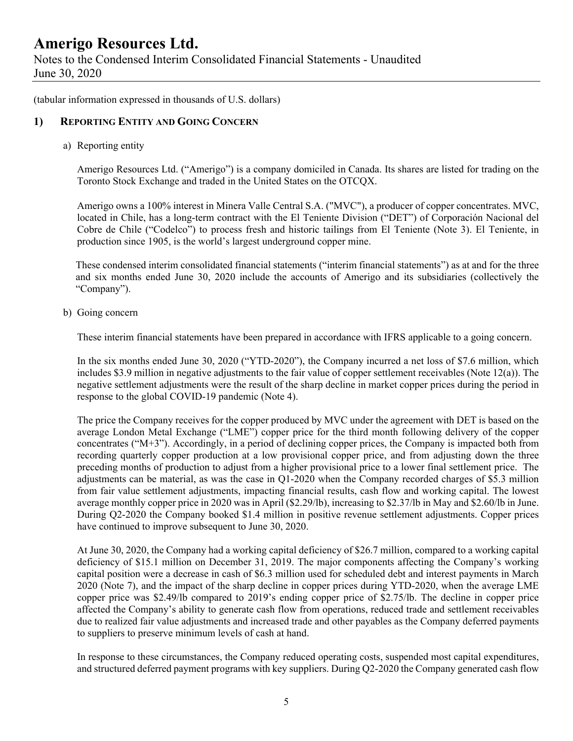Notes to the Condensed Interim Consolidated Financial Statements - Unaudited June 30, 2020

(tabular information expressed in thousands of U.S. dollars)

### **1) REPORTING ENTITY AND GOING CONCERN**

a) Reporting entity

Amerigo Resources Ltd. ("Amerigo") is a company domiciled in Canada. Its shares are listed for trading on the Toronto Stock Exchange and traded in the United States on the OTCQX.

Amerigo owns a 100% interest in Minera Valle Central S.A. ("MVC"), a producer of copper concentrates. MVC, located in Chile, has a long-term contract with the El Teniente Division ("DET") of Corporación Nacional del Cobre de Chile ("Codelco") to process fresh and historic tailings from El Teniente (Note 3). El Teniente, in production since 1905, is the world's largest underground copper mine.

These condensed interim consolidated financial statements ("interim financial statements") as at and for the three and six months ended June 30, 2020 include the accounts of Amerigo and its subsidiaries (collectively the "Company").

b) Going concern

These interim financial statements have been prepared in accordance with IFRS applicable to a going concern.

In the six months ended June 30, 2020 ("YTD-2020"), the Company incurred a net loss of \$7.6 million, which includes \$3.9 million in negative adjustments to the fair value of copper settlement receivables (Note 12(a)). The negative settlement adjustments were the result of the sharp decline in market copper prices during the period in response to the global COVID-19 pandemic (Note 4).

The price the Company receives for the copper produced by MVC under the agreement with DET is based on the average London Metal Exchange ("LME") copper price for the third month following delivery of the copper concentrates ("M+3"). Accordingly, in a period of declining copper prices, the Company is impacted both from recording quarterly copper production at a low provisional copper price, and from adjusting down the three preceding months of production to adjust from a higher provisional price to a lower final settlement price. The adjustments can be material, as was the case in Q1-2020 when the Company recorded charges of \$5.3 million from fair value settlement adjustments, impacting financial results, cash flow and working capital. The lowest average monthly copper price in 2020 was in April (\$2.29/lb), increasing to \$2.37/lb in May and \$2.60/lb in June. During Q2-2020 the Company booked \$1.4 million in positive revenue settlement adjustments. Copper prices have continued to improve subsequent to June 30, 2020.

At June 30, 2020, the Company had a working capital deficiency of \$26.7 million, compared to a working capital deficiency of \$15.1 million on December 31, 2019. The major components affecting the Company's working capital position were a decrease in cash of \$6.3 million used for scheduled debt and interest payments in March 2020 (Note 7), and the impact of the sharp decline in copper prices during YTD-2020, when the average LME copper price was \$2.49/lb compared to 2019's ending copper price of \$2.75/lb. The decline in copper price affected the Company's ability to generate cash flow from operations, reduced trade and settlement receivables due to realized fair value adjustments and increased trade and other payables as the Company deferred payments to suppliers to preserve minimum levels of cash at hand.

In response to these circumstances, the Company reduced operating costs, suspended most capital expenditures, and structured deferred payment programs with key suppliers. During Q2-2020 the Company generated cash flow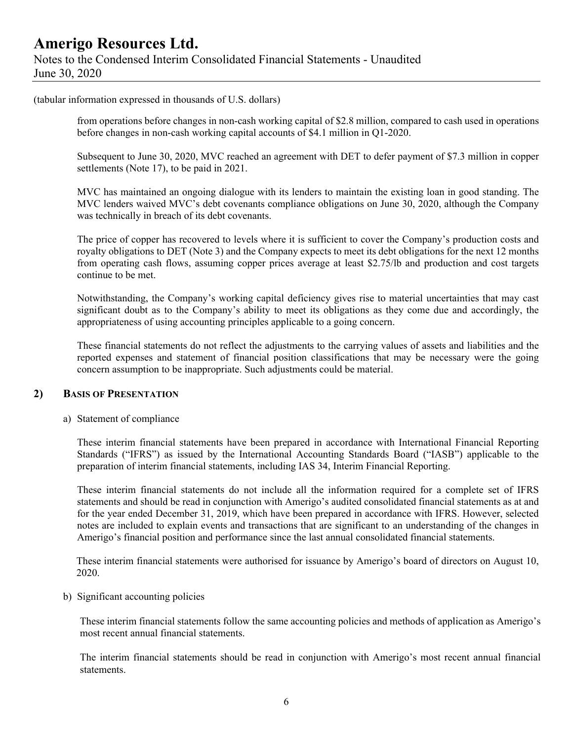## **Amerigo Resources Ltd.**  Notes to the Condensed Interim Consolidated Financial Statements - Unaudited June 30, 2020

#### (tabular information expressed in thousands of U.S. dollars)

from operations before changes in non-cash working capital of \$2.8 million, compared to cash used in operations before changes in non-cash working capital accounts of \$4.1 million in Q1-2020.

Subsequent to June 30, 2020, MVC reached an agreement with DET to defer payment of \$7.3 million in copper settlements (Note 17), to be paid in 2021.

MVC has maintained an ongoing dialogue with its lenders to maintain the existing loan in good standing. The MVC lenders waived MVC's debt covenants compliance obligations on June 30, 2020, although the Company was technically in breach of its debt covenants.

The price of copper has recovered to levels where it is sufficient to cover the Company's production costs and royalty obligations to DET (Note 3) and the Company expects to meet its debt obligations for the next 12 months from operating cash flows, assuming copper prices average at least \$2.75/lb and production and cost targets continue to be met.

Notwithstanding, the Company's working capital deficiency gives rise to material uncertainties that may cast significant doubt as to the Company's ability to meet its obligations as they come due and accordingly, the appropriateness of using accounting principles applicable to a going concern.

These financial statements do not reflect the adjustments to the carrying values of assets and liabilities and the reported expenses and statement of financial position classifications that may be necessary were the going concern assumption to be inappropriate. Such adjustments could be material.

#### **2) BASIS OF PRESENTATION**

#### a) Statement of compliance

These interim financial statements have been prepared in accordance with International Financial Reporting Standards ("IFRS") as issued by the International Accounting Standards Board ("IASB") applicable to the preparation of interim financial statements, including IAS 34, Interim Financial Reporting.

These interim financial statements do not include all the information required for a complete set of IFRS statements and should be read in conjunction with Amerigo's audited consolidated financial statements as at and for the year ended December 31, 2019, which have been prepared in accordance with IFRS. However, selected notes are included to explain events and transactions that are significant to an understanding of the changes in Amerigo's financial position and performance since the last annual consolidated financial statements.

 These interim financial statements were authorised for issuance by Amerigo's board of directors on August 10, 2020.

#### b) Significant accounting policies

These interim financial statements follow the same accounting policies and methods of application as Amerigo's most recent annual financial statements.

The interim financial statements should be read in conjunction with Amerigo's most recent annual financial statements.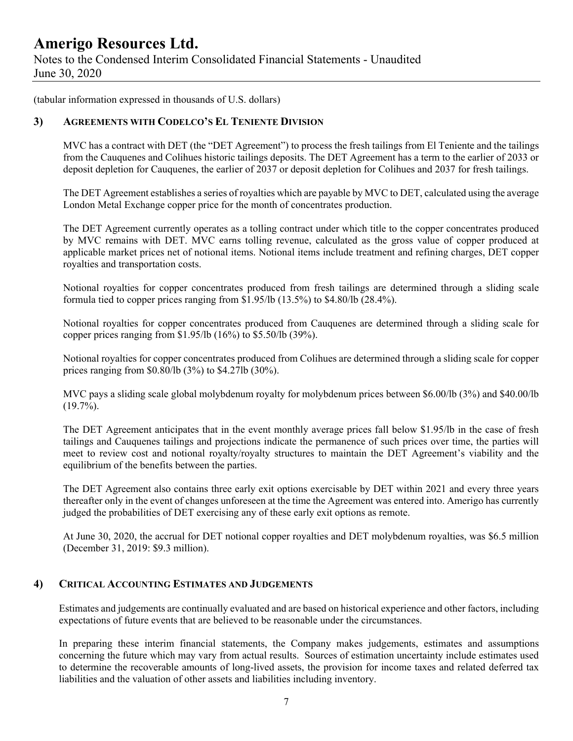Notes to the Condensed Interim Consolidated Financial Statements - Unaudited June 30, 2020

(tabular information expressed in thousands of U.S. dollars)

### **3) AGREEMENTS WITH CODELCO'S EL TENIENTE DIVISION**

MVC has a contract with DET (the "DET Agreement") to process the fresh tailings from El Teniente and the tailings from the Cauquenes and Colihues historic tailings deposits. The DET Agreement has a term to the earlier of 2033 or deposit depletion for Cauquenes, the earlier of 2037 or deposit depletion for Colihues and 2037 for fresh tailings.

The DET Agreement establishes a series of royalties which are payable by MVC to DET, calculated using the average London Metal Exchange copper price for the month of concentrates production.

The DET Agreement currently operates as a tolling contract under which title to the copper concentrates produced by MVC remains with DET. MVC earns tolling revenue, calculated as the gross value of copper produced at applicable market prices net of notional items. Notional items include treatment and refining charges, DET copper royalties and transportation costs.

Notional royalties for copper concentrates produced from fresh tailings are determined through a sliding scale formula tied to copper prices ranging from \$1.95/lb (13.5%) to \$4.80/lb (28.4%).

Notional royalties for copper concentrates produced from Cauquenes are determined through a sliding scale for copper prices ranging from \$1.95/lb (16%) to \$5.50/lb (39%).

Notional royalties for copper concentrates produced from Colihues are determined through a sliding scale for copper prices ranging from \$0.80/lb (3%) to \$4.27lb (30%).

MVC pays a sliding scale global molybdenum royalty for molybdenum prices between \$6.00/lb (3%) and \$40.00/lb  $(19.7\%)$ .

The DET Agreement anticipates that in the event monthly average prices fall below \$1.95/lb in the case of fresh tailings and Cauquenes tailings and projections indicate the permanence of such prices over time, the parties will meet to review cost and notional royalty/royalty structures to maintain the DET Agreement's viability and the equilibrium of the benefits between the parties.

The DET Agreement also contains three early exit options exercisable by DET within 2021 and every three years thereafter only in the event of changes unforeseen at the time the Agreement was entered into. Amerigo has currently judged the probabilities of DET exercising any of these early exit options as remote.

At June 30, 2020, the accrual for DET notional copper royalties and DET molybdenum royalties, was \$6.5 million (December 31, 2019: \$9.3 million).

#### **4) CRITICAL ACCOUNTING ESTIMATES AND JUDGEMENTS**

Estimates and judgements are continually evaluated and are based on historical experience and other factors, including expectations of future events that are believed to be reasonable under the circumstances.

In preparing these interim financial statements, the Company makes judgements, estimates and assumptions concerning the future which may vary from actual results. Sources of estimation uncertainty include estimates used to determine the recoverable amounts of long-lived assets, the provision for income taxes and related deferred tax liabilities and the valuation of other assets and liabilities including inventory.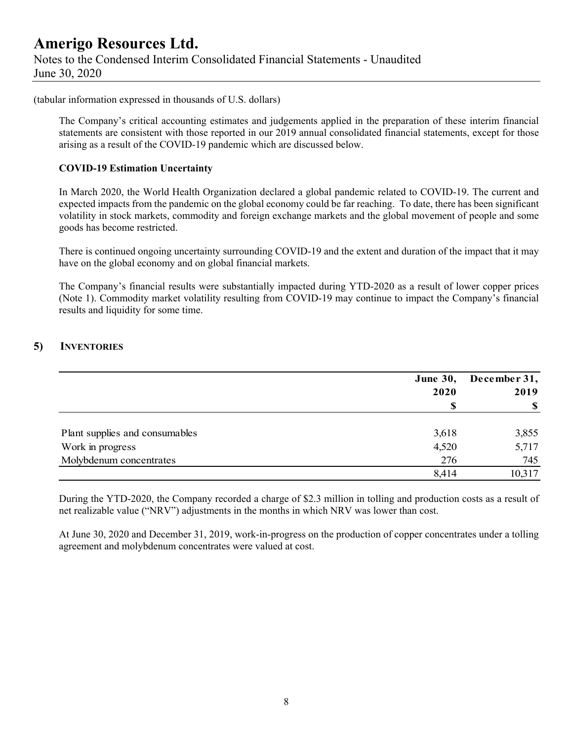## **Amerigo Resources Ltd.**  Notes to the Condensed Interim Consolidated Financial Statements - Unaudited June 30, 2020

#### (tabular information expressed in thousands of U.S. dollars)

The Company's critical accounting estimates and judgements applied in the preparation of these interim financial statements are consistent with those reported in our 2019 annual consolidated financial statements, except for those arising as a result of the COVID-19 pandemic which are discussed below.

#### **COVID-19 Estimation Uncertainty**

In March 2020, the World Health Organization declared a global pandemic related to COVID-19. The current and expected impacts from the pandemic on the global economy could be far reaching. To date, there has been significant volatility in stock markets, commodity and foreign exchange markets and the global movement of people and some goods has become restricted.

There is continued ongoing uncertainty surrounding COVID-19 and the extent and duration of the impact that it may have on the global economy and on global financial markets.

The Company's financial results were substantially impacted during YTD-2020 as a result of lower copper prices (Note 1). Commodity market volatility resulting from COVID-19 may continue to impact the Company's financial results and liquidity for some time.

### **5) INVENTORIES**

|                                | <b>June 30,</b> | December 31, |  |
|--------------------------------|-----------------|--------------|--|
|                                | 2020            | 2019         |  |
|                                |                 | \$           |  |
| Plant supplies and consumables | 3,618           | 3,855        |  |
| Work in progress               | 4,520           | 5,717        |  |
| Molybdenum concentrates        | 276             | 745          |  |
|                                | 8.414           | 10,317       |  |

During the YTD-2020, the Company recorded a charge of \$2.3 million in tolling and production costs as a result of net realizable value ("NRV") adjustments in the months in which NRV was lower than cost.

At June 30, 2020 and December 31, 2019, work-in-progress on the production of copper concentrates under a tolling agreement and molybdenum concentrates were valued at cost.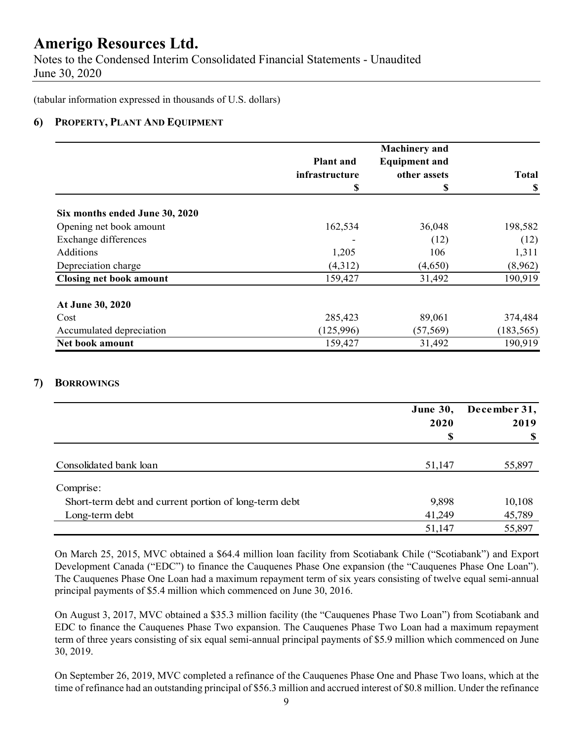Notes to the Condensed Interim Consolidated Financial Statements - Unaudited June 30, 2020

(tabular information expressed in thousands of U.S. dollars)

### **6) PROPERTY, PLANT AND EQUIPMENT**

|                                |                  | <b>Machinery</b> and |              |
|--------------------------------|------------------|----------------------|--------------|
|                                | <b>Plant and</b> | <b>Equipment and</b> |              |
|                                | infrastructure   | other assets         | <b>Total</b> |
|                                | \$               | \$                   | <b>S</b>     |
| Six months ended June 30, 2020 |                  |                      |              |
| Opening net book amount        | 162,534          | 36,048               | 198,582      |
| Exchange differences           |                  | (12)                 | (12)         |
| Additions                      | 1,205            | 106                  | 1,311        |
| Depreciation charge            | (4,312)          | (4,650)              | (8,962)      |
| <b>Closing net book amount</b> | 159,427          | 31,492               | 190,919      |
| At June 30, 2020               |                  |                      |              |
| Cost                           | 285,423          | 89,061               | 374,484      |
| Accumulated depreciation       | (125,996)        | (57, 569)            | (183, 565)   |
| Net book amount                | 159,427          | 31,492               | 190,919      |

#### **7) BORROWINGS**

|                                                       | <b>June 30,</b> | December 31, |  |
|-------------------------------------------------------|-----------------|--------------|--|
|                                                       | 2020            | 2019         |  |
|                                                       | S               | <b>S</b>     |  |
|                                                       |                 |              |  |
| Consolidated bank loan                                | 51,147          | 55,897       |  |
| Comprise:                                             |                 |              |  |
| Short-term debt and current portion of long-term debt | 9,898           | 10,108       |  |
| Long-term debt                                        | 41,249          | 45,789       |  |
|                                                       | 51,147          | 55,897       |  |

On March 25, 2015, MVC obtained a \$64.4 million loan facility from Scotiabank Chile ("Scotiabank") and Export Development Canada ("EDC") to finance the Cauquenes Phase One expansion (the "Cauquenes Phase One Loan"). The Cauquenes Phase One Loan had a maximum repayment term of six years consisting of twelve equal semi-annual principal payments of \$5.4 million which commenced on June 30, 2016.

On August 3, 2017, MVC obtained a \$35.3 million facility (the "Cauquenes Phase Two Loan") from Scotiabank and EDC to finance the Cauquenes Phase Two expansion. The Cauquenes Phase Two Loan had a maximum repayment term of three years consisting of six equal semi-annual principal payments of \$5.9 million which commenced on June 30, 2019.

On September 26, 2019, MVC completed a refinance of the Cauquenes Phase One and Phase Two loans, which at the time of refinance had an outstanding principal of \$56.3 million and accrued interest of \$0.8 million. Under the refinance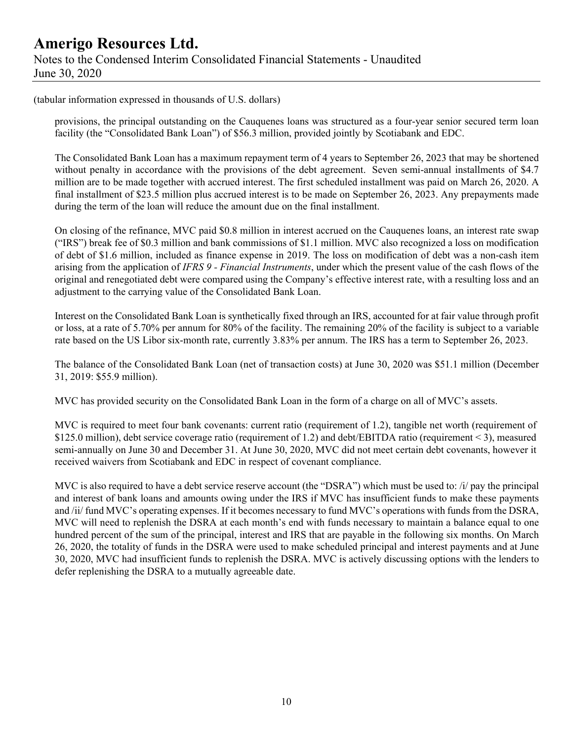## **Amerigo Resources Ltd.**  Notes to the Condensed Interim Consolidated Financial Statements - Unaudited June 30, 2020

(tabular information expressed in thousands of U.S. dollars)

provisions, the principal outstanding on the Cauquenes loans was structured as a four-year senior secured term loan facility (the "Consolidated Bank Loan") of \$56.3 million, provided jointly by Scotiabank and EDC.

The Consolidated Bank Loan has a maximum repayment term of 4 years to September 26, 2023 that may be shortened without penalty in accordance with the provisions of the debt agreement. Seven semi-annual installments of \$4.7 million are to be made together with accrued interest. The first scheduled installment was paid on March 26, 2020. A final installment of \$23.5 million plus accrued interest is to be made on September 26, 2023. Any prepayments made during the term of the loan will reduce the amount due on the final installment.

On closing of the refinance, MVC paid \$0.8 million in interest accrued on the Cauquenes loans, an interest rate swap ("IRS") break fee of \$0.3 million and bank commissions of \$1.1 million. MVC also recognized a loss on modification of debt of \$1.6 million, included as finance expense in 2019. The loss on modification of debt was a non-cash item arising from the application of *IFRS 9 - Financial Instruments*, under which the present value of the cash flows of the original and renegotiated debt were compared using the Company's effective interest rate, with a resulting loss and an adjustment to the carrying value of the Consolidated Bank Loan.

Interest on the Consolidated Bank Loan is synthetically fixed through an IRS, accounted for at fair value through profit or loss, at a rate of 5.70% per annum for 80% of the facility. The remaining 20% of the facility is subject to a variable rate based on the US Libor six-month rate, currently 3.83% per annum. The IRS has a term to September 26, 2023.

The balance of the Consolidated Bank Loan (net of transaction costs) at June 30, 2020 was \$51.1 million (December 31, 2019: \$55.9 million).

MVC has provided security on the Consolidated Bank Loan in the form of a charge on all of MVC's assets.

MVC is required to meet four bank covenants: current ratio (requirement of 1.2), tangible net worth (requirement of \$125.0 million), debt service coverage ratio (requirement of 1.2) and debt/EBITDA ratio (requirement < 3), measured semi-annually on June 30 and December 31. At June 30, 2020, MVC did not meet certain debt covenants, however it received waivers from Scotiabank and EDC in respect of covenant compliance.

MVC is also required to have a debt service reserve account (the "DSRA") which must be used to: /i/ pay the principal and interest of bank loans and amounts owing under the IRS if MVC has insufficient funds to make these payments and /ii/ fund MVC's operating expenses. If it becomes necessary to fund MVC's operations with funds from the DSRA, MVC will need to replenish the DSRA at each month's end with funds necessary to maintain a balance equal to one hundred percent of the sum of the principal, interest and IRS that are payable in the following six months. On March 26, 2020, the totality of funds in the DSRA were used to make scheduled principal and interest payments and at June 30, 2020, MVC had insufficient funds to replenish the DSRA. MVC is actively discussing options with the lenders to defer replenishing the DSRA to a mutually agreeable date.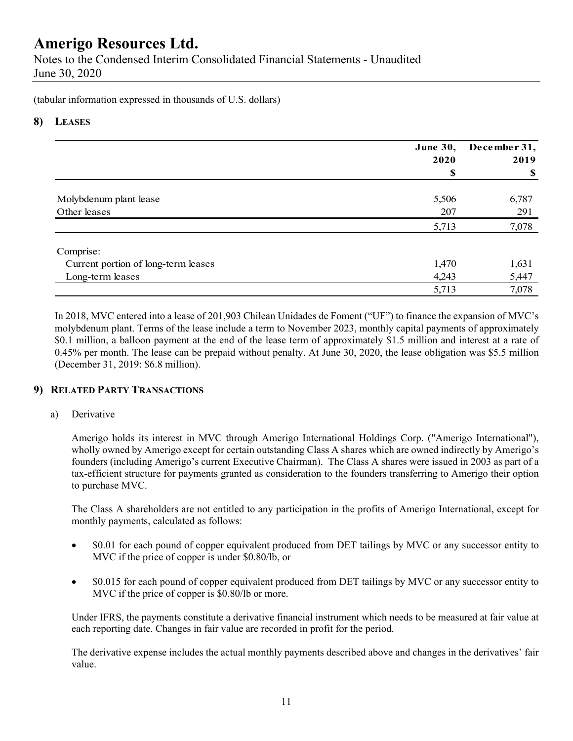Notes to the Condensed Interim Consolidated Financial Statements - Unaudited June 30, 2020

(tabular information expressed in thousands of U.S. dollars)

### **8) LEASES**

|                                     | <b>June 30,</b> | December 31,<br>2019 |  |
|-------------------------------------|-----------------|----------------------|--|
|                                     | 2020            |                      |  |
|                                     | \$              | \$                   |  |
| Molybdenum plant lease              | 5,506           | 6,787                |  |
| Other leases                        | 207             | 291                  |  |
|                                     | 5,713           | 7,078                |  |
| Comprise:                           |                 |                      |  |
| Current portion of long-term leases | 1,470           | 1,631                |  |
| Long-term leases                    | 4,243           | 5,447                |  |
|                                     | 5,713           | 7,078                |  |

In 2018, MVC entered into a lease of 201,903 Chilean Unidades de Foment ("UF") to finance the expansion of MVC's molybdenum plant. Terms of the lease include a term to November 2023, monthly capital payments of approximately \$0.1 million, a balloon payment at the end of the lease term of approximately \$1.5 million and interest at a rate of 0.45% per month. The lease can be prepaid without penalty. At June 30, 2020, the lease obligation was \$5.5 million (December 31, 2019: \$6.8 million).

### **9) RELATED PARTY TRANSACTIONS**

#### a) Derivative

Amerigo holds its interest in MVC through Amerigo International Holdings Corp. ("Amerigo International"), wholly owned by Amerigo except for certain outstanding Class A shares which are owned indirectly by Amerigo's founders (including Amerigo's current Executive Chairman). The Class A shares were issued in 2003 as part of a tax-efficient structure for payments granted as consideration to the founders transferring to Amerigo their option to purchase MVC.

The Class A shareholders are not entitled to any participation in the profits of Amerigo International, except for monthly payments, calculated as follows:

- \$0.01 for each pound of copper equivalent produced from DET tailings by MVC or any successor entity to MVC if the price of copper is under \$0.80/lb, or
- \$0.015 for each pound of copper equivalent produced from DET tailings by MVC or any successor entity to MVC if the price of copper is \$0.80/lb or more.

Under IFRS, the payments constitute a derivative financial instrument which needs to be measured at fair value at each reporting date. Changes in fair value are recorded in profit for the period.

The derivative expense includes the actual monthly payments described above and changes in the derivatives' fair value.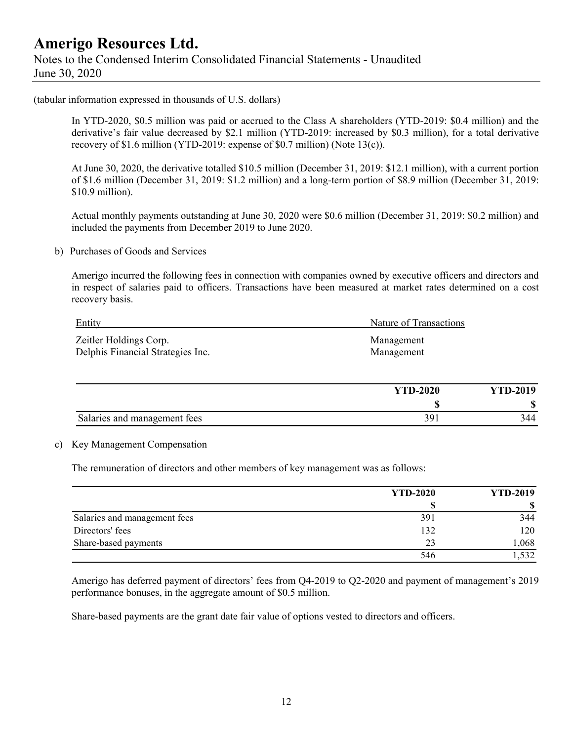## **Amerigo Resources Ltd.**  Notes to the Condensed Interim Consolidated Financial Statements - Unaudited June 30, 2020

(tabular information expressed in thousands of U.S. dollars)

In YTD-2020, \$0.5 million was paid or accrued to the Class A shareholders (YTD-2019: \$0.4 million) and the derivative's fair value decreased by \$2.1 million (YTD-2019: increased by \$0.3 million), for a total derivative recovery of \$1.6 million (YTD-2019: expense of \$0.7 million) (Note 13(c)).

At June 30, 2020, the derivative totalled \$10.5 million (December 31, 2019: \$12.1 million), with a current portion of \$1.6 million (December 31, 2019: \$1.2 million) and a long-term portion of \$8.9 million (December 31, 2019: \$10.9 million).

Actual monthly payments outstanding at June 30, 2020 were \$0.6 million (December 31, 2019: \$0.2 million) and included the payments from December 2019 to June 2020.

b) Purchases of Goods and Services

Amerigo incurred the following fees in connection with companies owned by executive officers and directors and in respect of salaries paid to officers. Transactions have been measured at market rates determined on a cost recovery basis.

| Entity                            | Nature of Transactions |  |
|-----------------------------------|------------------------|--|
| Zeitler Holdings Corp.            | Management             |  |
| Delphis Financial Strategies Inc. | Management             |  |

|                              | <b>YTD-2020</b> | <b>YTD-2019</b> |
|------------------------------|-----------------|-----------------|
|                              |                 | ⋒<br>۱D         |
| Salaries and management fees | 391             | 344             |

#### c) Key Management Compensation

The remuneration of directors and other members of key management was as follows:

|                              | <b>YTD-2020</b> | <b>YTD-2019</b> |
|------------------------------|-----------------|-----------------|
|                              |                 |                 |
| Salaries and management fees | 391             | 344             |
| Directors' fees              | 132             | 120             |
| Share-based payments         | 23              | 1,068           |
|                              | 546             | 1,532           |

Amerigo has deferred payment of directors' fees from Q4-2019 to Q2-2020 and payment of management's 2019 performance bonuses, in the aggregate amount of \$0.5 million.

Share-based payments are the grant date fair value of options vested to directors and officers.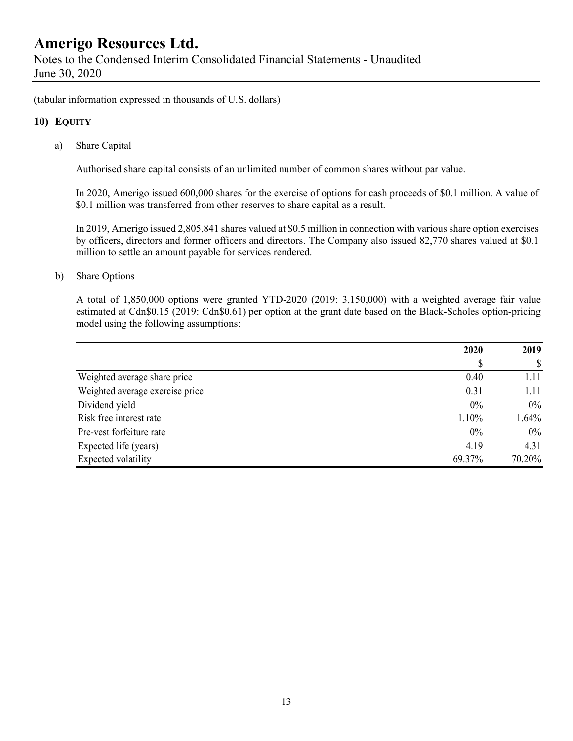Notes to the Condensed Interim Consolidated Financial Statements - Unaudited June 30, 2020

(tabular information expressed in thousands of U.S. dollars)

### **10) EQUITY**

a) Share Capital

Authorised share capital consists of an unlimited number of common shares without par value.

In 2020, Amerigo issued 600,000 shares for the exercise of options for cash proceeds of \$0.1 million. A value of \$0.1 million was transferred from other reserves to share capital as a result.

In 2019, Amerigo issued 2,805,841 shares valued at \$0.5 million in connection with various share option exercises by officers, directors and former officers and directors. The Company also issued 82,770 shares valued at \$0.1 million to settle an amount payable for services rendered.

#### b) Share Options

A total of 1,850,000 options were granted YTD-2020 (2019: 3,150,000) with a weighted average fair value estimated at Cdn\$0.15 (2019: Cdn\$0.61) per option at the grant date based on the Black-Scholes option-pricing model using the following assumptions:

|                                 | 2020   | 2019   |  |
|---------------------------------|--------|--------|--|
|                                 |        | \$     |  |
| Weighted average share price    | 0.40   | 1.11   |  |
| Weighted average exercise price | 0.31   | 1.11   |  |
| Dividend yield                  | $0\%$  | $0\%$  |  |
| Risk free interest rate         | 1.10%  | 1.64%  |  |
| Pre-vest forfeiture rate        | $0\%$  | $0\%$  |  |
| Expected life (years)           | 4.19   | 4.31   |  |
| Expected volatility             | 69.37% | 70.20% |  |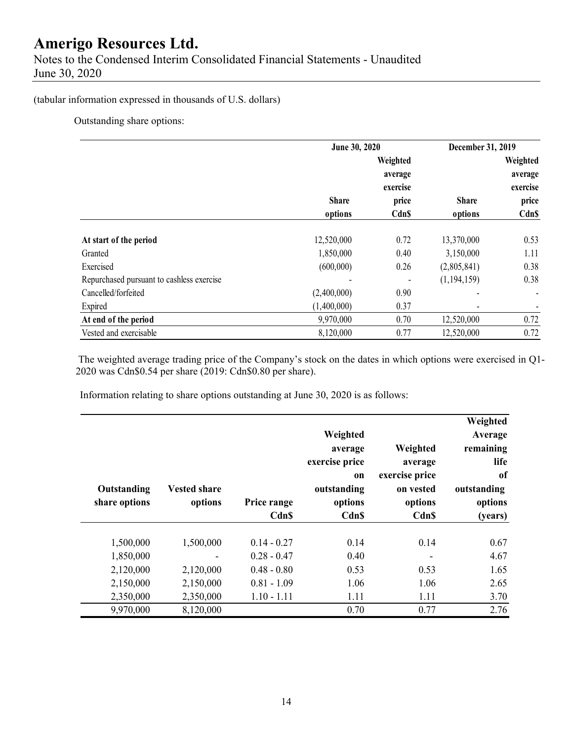### (tabular information expressed in thousands of U.S. dollars)

Outstanding share options:

|                                           | June 30, 2020           |          | December 31, 2019 |          |         |       |
|-------------------------------------------|-------------------------|----------|-------------------|----------|---------|-------|
|                                           |                         | Weighted |                   | Weighted |         |       |
|                                           |                         | average  |                   | average  |         |       |
|                                           |                         | exercise |                   | exercise |         |       |
|                                           | <b>Share</b>            | price    | <b>Share</b>      | price    |         |       |
|                                           | <b>Cdn\$</b><br>options |          |                   |          | options | Cdn\$ |
| At start of the period                    | 12,520,000              | 0.72     | 13,370,000        | 0.53     |         |       |
| Granted                                   | 1,850,000               | 0.40     | 3,150,000         | 1.11     |         |       |
| Exercised                                 | (600,000)               | 0.26     | (2,805,841)       | 0.38     |         |       |
| Repurchased pursuant to cashless exercise |                         |          | (1, 194, 159)     | 0.38     |         |       |
| Cancelled/forfeited                       | (2,400,000)             | 0.90     |                   |          |         |       |
| Expired                                   | (1,400,000)             | 0.37     |                   |          |         |       |
| At end of the period                      | 9,970,000               | 0.70     | 12,520,000        | 0.72     |         |       |
| Vested and exercisable                    | 8,120,000               | 0.77     | 12,520,000        | 0.72     |         |       |

 The weighted average trading price of the Company's stock on the dates in which options were exercised in Q1- 2020 was Cdn\$0.54 per share (2019: Cdn\$0.80 per share).

Information relating to share options outstanding at June 30, 2020 is as follows:

| Outstanding<br>share options | <b>Vested share</b><br>options | Price range<br><b>CdnS</b> | Weighted<br>average<br>exercise price<br><sub>on</sub><br>outstanding<br>options<br><b>Cdn\$</b> | Weighted<br>average<br>exercise price<br>on vested<br>options<br>Cdn\$ | Weighted<br>Average<br>remaining<br>life<br><sub>of</sub><br>outstanding<br>options<br>(years) |
|------------------------------|--------------------------------|----------------------------|--------------------------------------------------------------------------------------------------|------------------------------------------------------------------------|------------------------------------------------------------------------------------------------|
|                              |                                |                            |                                                                                                  |                                                                        |                                                                                                |
| 1,500,000                    | 1,500,000                      | $0.14 - 0.27$              | 0.14                                                                                             | 0.14                                                                   | 0.67                                                                                           |
| 1,850,000                    |                                | $0.28 - 0.47$              | 0.40                                                                                             | -                                                                      | 4.67                                                                                           |
| 2,120,000                    | 2,120,000                      | $0.48 - 0.80$              | 0.53                                                                                             | 0.53                                                                   | 1.65                                                                                           |
| 2,150,000                    | 2,150,000                      | $0.81 - 1.09$              | 1.06                                                                                             | 1.06                                                                   | 2.65                                                                                           |
| 2,350,000                    | 2,350,000                      | $1.10 - 1.11$              | 1.11                                                                                             | 1.11                                                                   | 3.70                                                                                           |
| 9,970,000                    | 8,120,000                      |                            | 0.70                                                                                             | 0.77                                                                   | 2.76                                                                                           |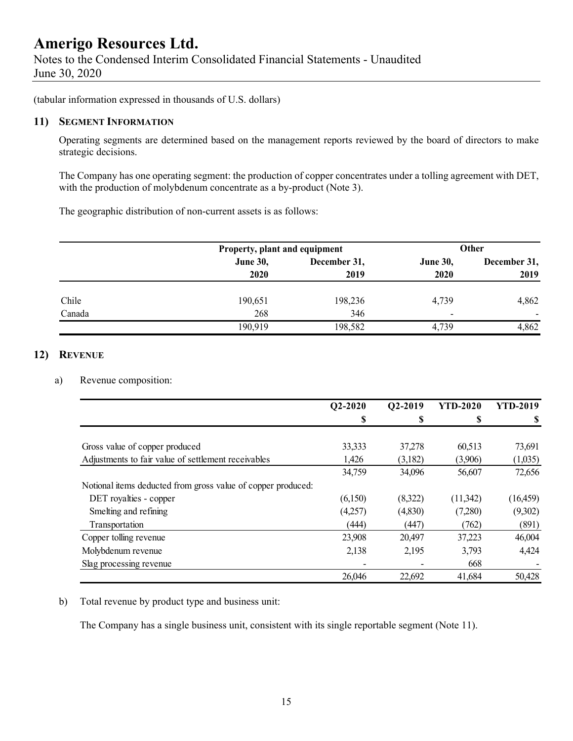Notes to the Condensed Interim Consolidated Financial Statements - Unaudited June 30, 2020

(tabular information expressed in thousands of U.S. dollars)

#### **11) SEGMENT INFORMATION**

Operating segments are determined based on the management reports reviewed by the board of directors to make strategic decisions.

The Company has one operating segment: the production of copper concentrates under a tolling agreement with DET, with the production of molybdenum concentrate as a by-product (Note 3).

The geographic distribution of non-current assets is as follows:

|        |                 | Property, plant and equipment |       | Other        |
|--------|-----------------|-------------------------------|-------|--------------|
|        | <b>June 30,</b> | December 31,                  |       | December 31, |
|        | 2020            | 2019                          | 2020  | 2019         |
| Chile  | 190,651         | 198,236                       | 4,739 | 4,862        |
| Canada | 268             | 346                           | -     |              |
|        | 190,919         | 198,582                       | 4,739 | 4,862        |

### **12) REVENUE**

#### a) Revenue composition:

|                                                              | $Q2-2020$ | Q2-2019 | <b>YTD-2020</b> | <b>YTD-2019</b> |
|--------------------------------------------------------------|-----------|---------|-----------------|-----------------|
|                                                              | \$        | S       | \$              |                 |
|                                                              |           |         |                 |                 |
| Gross value of copper produced                               | 33,333    | 37,278  | 60,513          | 73,691          |
| Adjustments to fair value of settlement receivables          | 1,426     | (3,182) | (3,906)         | (1,035)         |
|                                                              | 34,759    | 34,096  | 56,607          | 72,656          |
| Notional items deducted from gross value of copper produced: |           |         |                 |                 |
| DET royalties - copper                                       | (6,150)   | (8,322) | (11,342)        | (16, 459)       |
| Smelting and refining                                        | (4,257)   | (4,830) | (7,280)         | (9,302)         |
| Transportation                                               | (444)     | (447)   | (762)           | (891)           |
| Copper tolling revenue                                       | 23,908    | 20,497  | 37,223          | 46,004          |
| Molybdenum revenue                                           | 2,138     | 2,195   | 3,793           | 4,424           |
| Slag processing revenue                                      |           |         | 668             |                 |
|                                                              | 26,046    | 22,692  | 41,684          | 50,428          |

#### b) Total revenue by product type and business unit:

The Company has a single business unit, consistent with its single reportable segment (Note 11).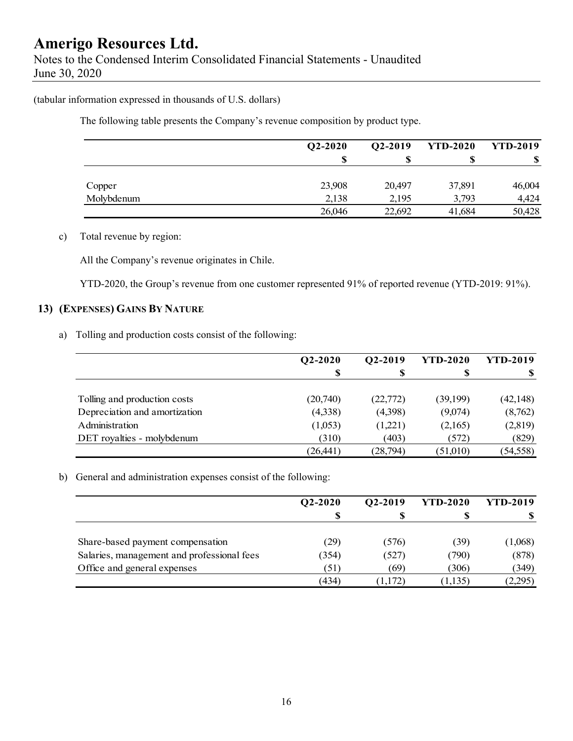Notes to the Condensed Interim Consolidated Financial Statements - Unaudited June 30, 2020

(tabular information expressed in thousands of U.S. dollars)

The following table presents the Company's revenue composition by product type.

|            | $Q2 - 2020$ | Q2-2019 | <b>YTD-2020</b> | <b>YTD-2019</b> |
|------------|-------------|---------|-----------------|-----------------|
|            | \$          |         |                 | S               |
| Copper     | 23,908      | 20,497  | 37,891          | 46,004          |
| Molybdenum | 2,138       | 2,195   | 3,793           | 4,424           |
|            | 26,046      | 22,692  | 41,684          | 50,428          |

#### c) Total revenue by region:

All the Company's revenue originates in Chile.

YTD-2020, the Group's revenue from one customer represented 91% of reported revenue (YTD-2019: 91%).

### **13) (EXPENSES) GAINS BY NATURE**

a) Tolling and production costs consist of the following:

|                               | $Q2 - 2020$ | Q2-2019   | <b>YTD-2020</b> | <b>YTD-2019</b> |
|-------------------------------|-------------|-----------|-----------------|-----------------|
|                               | -S          | S         | \$              | S               |
|                               |             |           |                 |                 |
| Tolling and production costs  | (20,740)    | (22,772)  | (39,199)        | (42, 148)       |
| Depreciation and amortization | (4,338)     | (4,398)   | (9,074)         | (8,762)         |
| Administration                | (1,053)     | (1,221)   | (2,165)         | (2,819)         |
| DET royalties - molybdenum    | (310)       | (403)     | (572)           | (829)           |
|                               | (26,441)    | (28, 794) | (51,010)        | (54, 558)       |

b) General and administration expenses consist of the following:

|                                            | $Q2-2020$ | Q2-2019 | <b>YTD-2020</b> | <b>YTD-2019</b> |
|--------------------------------------------|-----------|---------|-----------------|-----------------|
|                                            |           |         |                 |                 |
| Share-based payment compensation           | (29)      | (576)   | (39)            | (1,068)         |
| Salaries, management and professional fees | (354)     | (527)   | (790)           | (878)           |
| Office and general expenses                | (51)      | (69)    | (306)           | (349)           |
|                                            | (434)     | (1.172) | (1, 135)        | (2,295)         |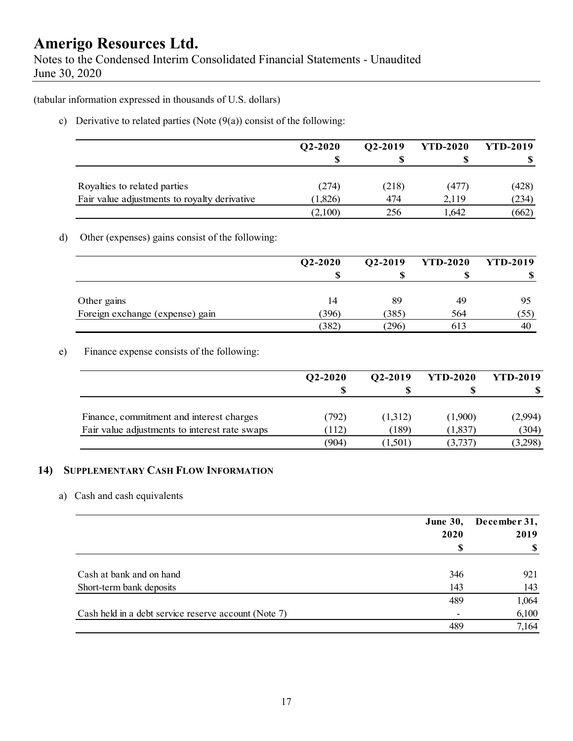Notes to the Condensed Interim Consolidated Financial Statements - Unaudited June 30, 2020

(tabular information expressed in thousands of U.S. dollars)

c) Derivative to related parties (Note  $(9(a))$  consist of the following:

|                                              | $Q2 - 2020$ | Q2-2019 | <b>YTD-2020</b> | <b>YTD-2019</b> |
|----------------------------------------------|-------------|---------|-----------------|-----------------|
|                                              |             |         |                 |                 |
| Royalties to related parties                 | (274)       | (218)   | (477)           | (428)           |
| Fair value adjustments to royalty derivative | (1,826)     | 474     | 2.119           | (234)           |
|                                              | (2,100)     | 256     | 1.642           | (662)           |

### d) Other (expenses) gains consist of the following:

|                                 | $Q2 - 2020$ | Q2-2019 | <b>YTD-2020</b> | <b>YTD-2019</b> |
|---------------------------------|-------------|---------|-----------------|-----------------|
|                                 | S           |         |                 | D               |
| Other gains                     | 14          | 89      | 49              | 95              |
| Foreign exchange (expense) gain | 396)        | (385)   | 564             | (55)            |
|                                 | (382)       | (296)   | 613             | 40              |

### e) Finance expense consists of the following:

|                                               | $Q2 - 2020$ | O <sub>2</sub> -2019 | <b>YTD-2020</b> | <b>YTD-2019</b> |
|-----------------------------------------------|-------------|----------------------|-----------------|-----------------|
|                                               |             |                      |                 |                 |
| Finance, commitment and interest charges      | (792)       | (1,312)              | (1,900)         | (2,994)         |
| Fair value adjustments to interest rate swaps | (112)       | 189)                 | (1,837)         | (304)           |
|                                               | (904)       | (1,501)              | (3,737)         | (3,298)         |

### **14) SUPPLEMENTARY CASH FLOW INFORMATION**

### a) Cash and cash equivalents

|                                                      | <b>June 30,</b> | December 31, |  |
|------------------------------------------------------|-----------------|--------------|--|
|                                                      | 2020            | 2019         |  |
|                                                      | S               | S            |  |
| Cash at bank and on hand                             | 346             | 921          |  |
| Short-term bank deposits                             | 143             | 143          |  |
|                                                      | 489             | 1,064        |  |
| Cash held in a debt service reserve account (Note 7) |                 | 6,100        |  |
|                                                      | 489             | 7,164        |  |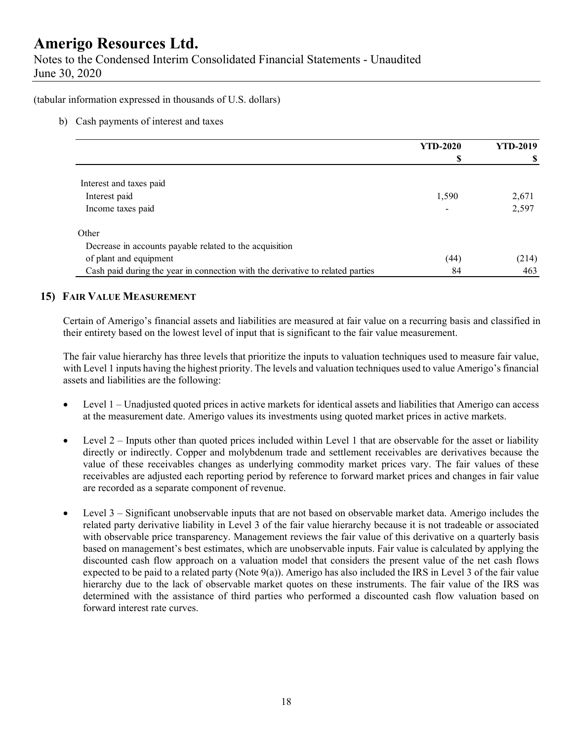Notes to the Condensed Interim Consolidated Financial Statements - Unaudited June 30, 2020

(tabular information expressed in thousands of U.S. dollars)

b) Cash payments of interest and taxes

|                                                                                | <b>YTD-2020</b> | <b>YTD-2019</b> |  |
|--------------------------------------------------------------------------------|-----------------|-----------------|--|
|                                                                                |                 |                 |  |
|                                                                                |                 |                 |  |
| Interest and taxes paid                                                        |                 |                 |  |
| Interest paid                                                                  | 1,590           | 2,671           |  |
| Income taxes paid                                                              |                 | 2,597           |  |
| Other                                                                          |                 |                 |  |
| Decrease in accounts payable related to the acquisition                        |                 |                 |  |
| of plant and equipment                                                         | (44)            | (214)           |  |
| Cash paid during the year in connection with the derivative to related parties | 84              | 463             |  |

### **15) FAIR VALUE MEASUREMENT**

Certain of Amerigo's financial assets and liabilities are measured at fair value on a recurring basis and classified in their entirety based on the lowest level of input that is significant to the fair value measurement.

The fair value hierarchy has three levels that prioritize the inputs to valuation techniques used to measure fair value, with Level 1 inputs having the highest priority. The levels and valuation techniques used to value Amerigo's financial assets and liabilities are the following:

- Level 1 Unadjusted quoted prices in active markets for identical assets and liabilities that Amerigo can access at the measurement date. Amerigo values its investments using quoted market prices in active markets.
- $\bullet$  Level 2 Inputs other than quoted prices included within Level 1 that are observable for the asset or liability directly or indirectly. Copper and molybdenum trade and settlement receivables are derivatives because the value of these receivables changes as underlying commodity market prices vary. The fair values of these receivables are adjusted each reporting period by reference to forward market prices and changes in fair value are recorded as a separate component of revenue.
- Level 3 Significant unobservable inputs that are not based on observable market data. Amerigo includes the related party derivative liability in Level 3 of the fair value hierarchy because it is not tradeable or associated with observable price transparency. Management reviews the fair value of this derivative on a quarterly basis based on management's best estimates, which are unobservable inputs. Fair value is calculated by applying the discounted cash flow approach on a valuation model that considers the present value of the net cash flows expected to be paid to a related party (Note 9(a)). Amerigo has also included the IRS in Level 3 of the fair value hierarchy due to the lack of observable market quotes on these instruments. The fair value of the IRS was determined with the assistance of third parties who performed a discounted cash flow valuation based on forward interest rate curves.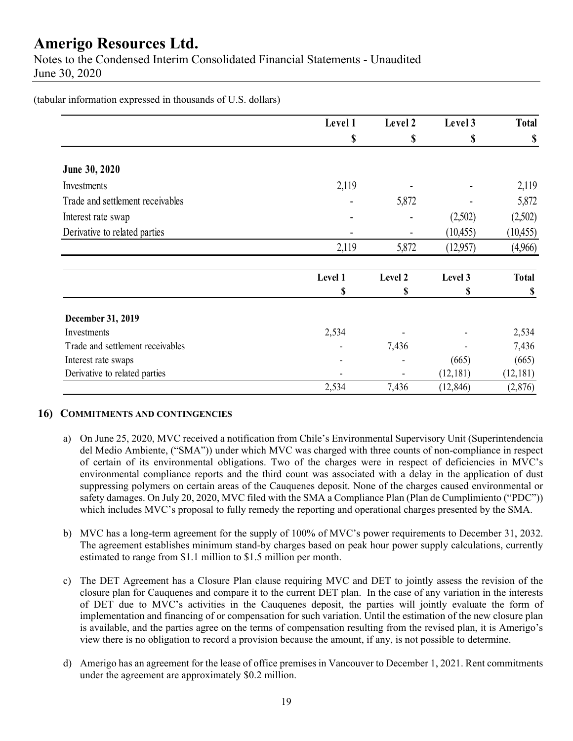Notes to the Condensed Interim Consolidated Financial Statements - Unaudited June 30, 2020

|                                  | Level 1 | Level 2 | Level 3   | <b>Total</b> |
|----------------------------------|---------|---------|-----------|--------------|
|                                  | \$      | \$      | \$        | \$           |
| June 30, 2020                    |         |         |           |              |
| Investments                      | 2,119   |         |           | 2,119        |
| Trade and settlement receivables |         | 5,872   |           | 5,872        |
| Interest rate swap               |         |         | (2,502)   | (2,502)      |
| Derivative to related parties    |         | ٠       | (10, 455) | (10, 455)    |
|                                  | 2,119   | 5,872   | (12, 957) | (4,966)      |
|                                  | Level 1 | Level 2 | Level 3   | <b>Total</b> |
|                                  | \$      | \$      | \$        | S            |
| December 31, 2019                |         |         |           |              |
| Investments                      | 2,534   |         |           | 2,534        |
| Trade and settlement receivables |         | 7,436   |           | 7,436        |
| Interest rate swaps              |         |         | (665)     | (665)        |
| Derivative to related parties    |         |         | (12, 181) | (12, 181)    |
|                                  | 2,534   | 7,436   | (12, 846) | (2,876)      |

(tabular information expressed in thousands of U.S. dollars)

#### **16) COMMITMENTS AND CONTINGENCIES**

- a) On June 25, 2020, MVC received a notification from Chile's Environmental Supervisory Unit (Superintendencia del Medio Ambiente, ("SMA")) under which MVC was charged with three counts of non-compliance in respect of certain of its environmental obligations. Two of the charges were in respect of deficiencies in MVC's environmental compliance reports and the third count was associated with a delay in the application of dust suppressing polymers on certain areas of the Cauquenes deposit. None of the charges caused environmental or safety damages. On July 20, 2020, MVC filed with the SMA a Compliance Plan (Plan de Cumplimiento ("PDC")) which includes MVC's proposal to fully remedy the reporting and operational charges presented by the SMA.
- b) MVC has a long-term agreement for the supply of 100% of MVC's power requirements to December 31, 2032. The agreement establishes minimum stand-by charges based on peak hour power supply calculations, currently estimated to range from \$1.1 million to \$1.5 million per month.
- c) The DET Agreement has a Closure Plan clause requiring MVC and DET to jointly assess the revision of the closure plan for Cauquenes and compare it to the current DET plan. In the case of any variation in the interests of DET due to MVC's activities in the Cauquenes deposit, the parties will jointly evaluate the form of implementation and financing of or compensation for such variation. Until the estimation of the new closure plan is available, and the parties agree on the terms of compensation resulting from the revised plan, it is Amerigo's view there is no obligation to record a provision because the amount, if any, is not possible to determine.
- d) Amerigo has an agreement for the lease of office premises in Vancouver to December 1, 2021. Rent commitments under the agreement are approximately \$0.2 million.